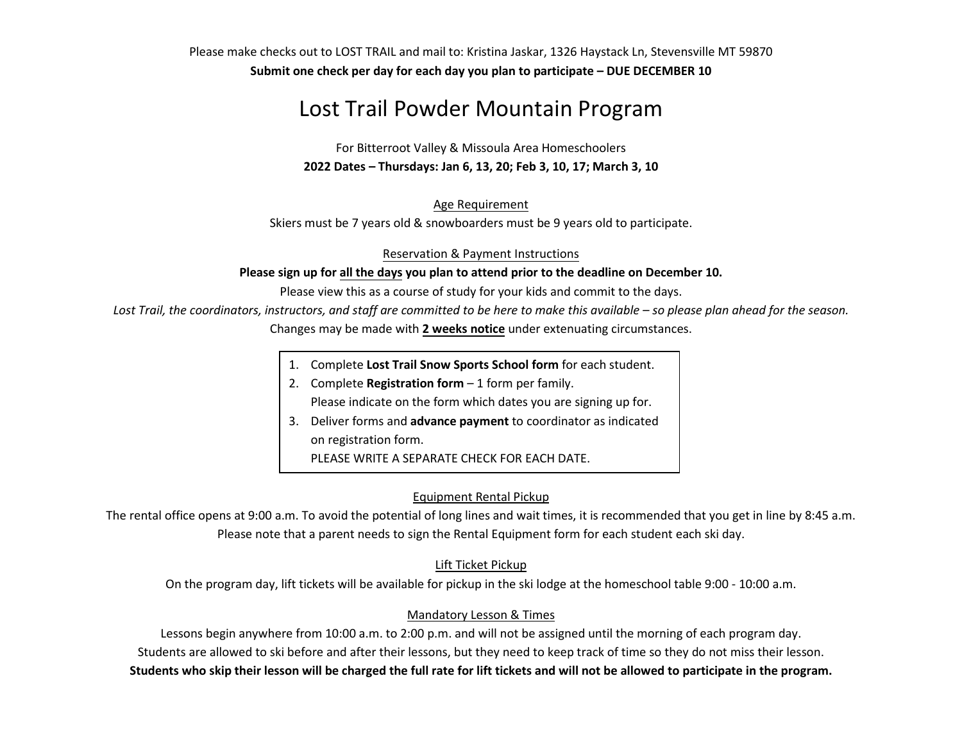Please make checks out to LOST TRAIL and mail to: Kristina Jaskar, 1326 Haystack Ln, Stevensville MT 59870 **Submit one check per day for each day you plan to participate – DUE DECEMBER 10** 

# Lost Trail Powder Mountain Program

For Bitterroot Valley & Missoula Area Homeschoolers **2022 Dates – Thursdays: Jan 6, 13, 20; Feb 3, 10, 17; March 3, 10**

Age Requirement

Skiers must be 7 years old & snowboarders must be 9 years old to participate.

Reservation & Payment Instructions

**Please sign up for all the days you plan to attend prior to the deadline on December 10.** 

Please view this as a course of study for your kids and commit to the days.

*Lost Trail, the coordinators, instructors, and staff are committed to be here to make this available – so please plan ahead for the season.*

Changes may be made with **2 weeks notice** under extenuating circumstances.

- 1. Complete **Lost Trail Snow Sports School form** for each student.
- 2. Complete **Registration form** 1 form per family. Please indicate on the form which dates you are signing up for.
- 3. Deliver forms and **advance payment** to coordinator as indicated on registration form.

PLEASE WRITE A SEPARATE CHECK FOR EACH DATE.

### Equipment Rental Pickup

The rental office opens at 9:00 a.m. To avoid the potential of long lines and wait times, it is recommended that you get in line by 8:45 a.m. Please note that a parent needs to sign the Rental Equipment form for each student each ski day.

#### Lift Ticket Pickup

On the program day, lift tickets will be available for pickup in the ski lodge at the homeschool table 9:00 - 10:00 a.m.

### Mandatory Lesson & Times

Lessons begin anywhere from 10:00 a.m. to 2:00 p.m. and will not be assigned until the morning of each program day. Students are allowed to ski before and after their lessons, but they need to keep track of time so they do not miss their lesson. **Students who skip their lesson will be charged the full rate for lift tickets and will not be allowed to participate in the program.**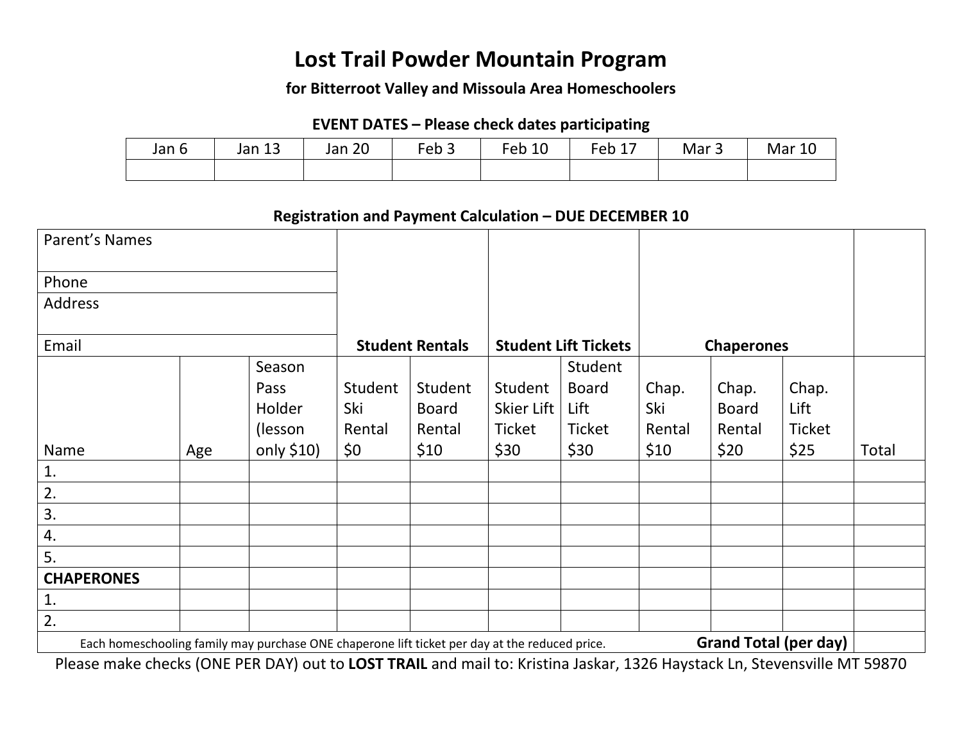# **Lost Trail Powder Mountain Program**

### **for Bitterroot Valley and Missoula Area Homeschoolers**

## **EVENT DATES – Please check dates participating**

| Jan 6 | $\sim$<br>Jan 13 | Jan 20 | Feb <sub>&gt;</sub> | Feb 10 | Feb 1, | Mar <sub>3</sub> | <b>Mar 10</b> |
|-------|------------------|--------|---------------------|--------|--------|------------------|---------------|
|       |                  |        |                     |        |        |                  |               |

### **Registration and Payment Calculation – DUE DECEMBER 10**

| Parent's Names                                                                                                                 |     |                        |         |                             |            |                   |        |              |               |       |
|--------------------------------------------------------------------------------------------------------------------------------|-----|------------------------|---------|-----------------------------|------------|-------------------|--------|--------------|---------------|-------|
| Phone                                                                                                                          |     |                        |         |                             |            |                   |        |              |               |       |
| Address                                                                                                                        |     |                        |         |                             |            |                   |        |              |               |       |
| Email                                                                                                                          |     | <b>Student Rentals</b> |         | <b>Student Lift Tickets</b> |            | <b>Chaperones</b> |        |              |               |       |
|                                                                                                                                |     | Season                 |         |                             |            | Student           |        |              |               |       |
|                                                                                                                                |     | Pass                   | Student | Student                     | Student    | <b>Board</b>      | Chap.  | Chap.        | Chap.         |       |
|                                                                                                                                |     | Holder                 | Ski     | <b>Board</b>                | Skier Lift | Lift              | Ski    | <b>Board</b> | Lift          |       |
|                                                                                                                                |     | (lesson                | Rental  | Rental                      | Ticket     | Ticket            | Rental | Rental       | <b>Ticket</b> |       |
| Name                                                                                                                           | Age | only $$10)$            | \$0\$   | \$10                        | \$30       | \$30              | \$10   | \$20         | \$25          | Total |
| 1.                                                                                                                             |     |                        |         |                             |            |                   |        |              |               |       |
| 2.                                                                                                                             |     |                        |         |                             |            |                   |        |              |               |       |
| 3.                                                                                                                             |     |                        |         |                             |            |                   |        |              |               |       |
| 4.                                                                                                                             |     |                        |         |                             |            |                   |        |              |               |       |
| 5.                                                                                                                             |     |                        |         |                             |            |                   |        |              |               |       |
| <b>CHAPERONES</b>                                                                                                              |     |                        |         |                             |            |                   |        |              |               |       |
| 1.                                                                                                                             |     |                        |         |                             |            |                   |        |              |               |       |
| 2.                                                                                                                             |     |                        |         |                             |            |                   |        |              |               |       |
| <b>Grand Total (per day)</b><br>Each homeschooling family may purchase ONE chaperone lift ticket per day at the reduced price. |     |                        |         |                             |            |                   |        |              |               |       |

Please make checks (ONE PER DAY) out to **LOST TRAIL** and mail to: Kristina Jaskar, 1326 Haystack Ln, Stevensville MT 59870